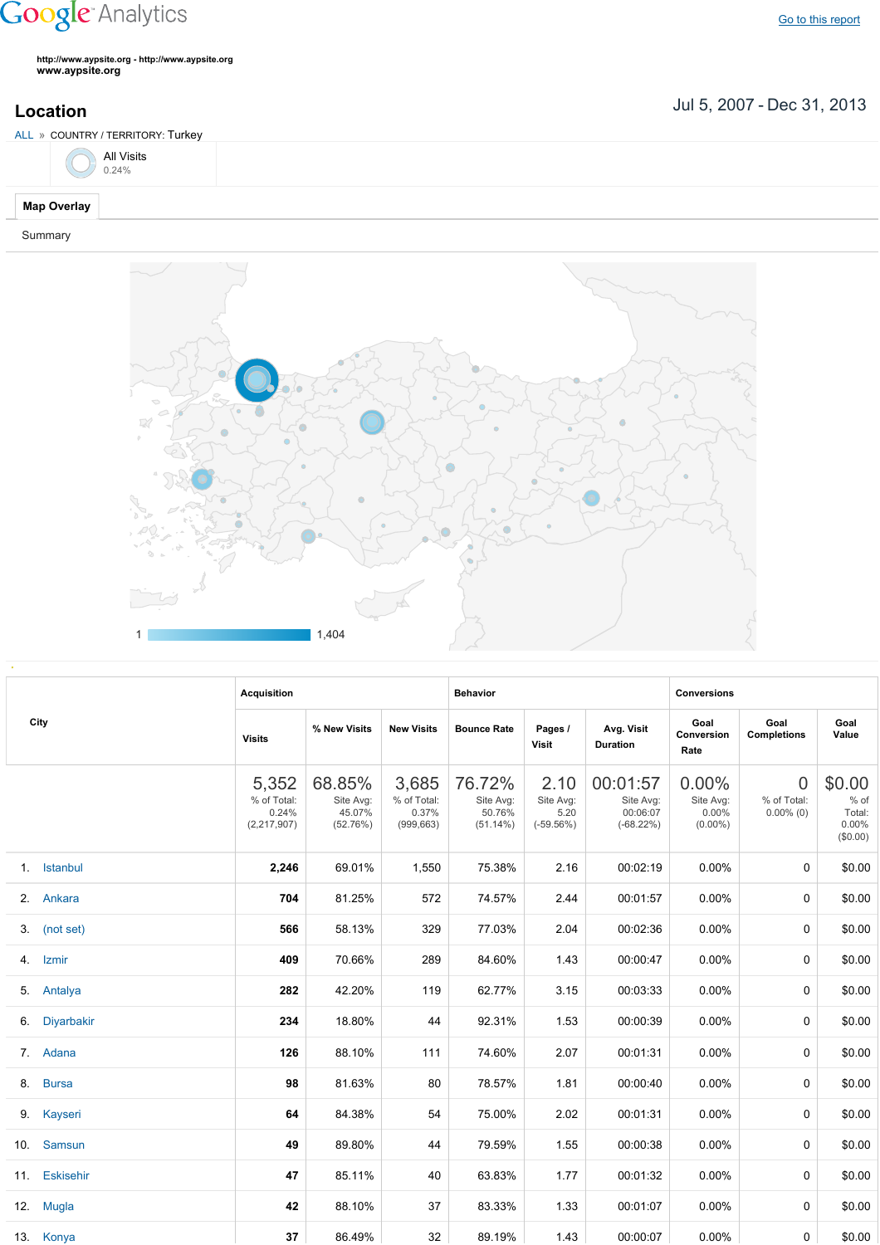## **Google** Analytics

Go to this [report](https://www.google.com/analytics/web/?utm_source=pdfReportLink#report/visitors-geo/a2184169w3912412p4016214/%3F_u.date00%3D20070705%26_u.date01%3D20131231%26geo-table.plotKeys%3D%5B%5D%26geo-table.rowStart%3D0%26geo-table.rowCount%3D1000%26_r.drilldown%3Danalytics.country%3ATR%26geo-segmentExplorer.segmentId%3Danalytics.city/)

**http://www.aypsite.org http://www.aypsite.org www.aypsite.org**

Jul 5, 2007 Dec 31, 2013 **Location**



## Summary



|  | City          | <b>Acquisition</b>                             |                                           |                                             | <b>Behavior</b>                              |                                          |                                                  | <b>Conversions</b>                              |                                               |                                                    |
|--|---------------|------------------------------------------------|-------------------------------------------|---------------------------------------------|----------------------------------------------|------------------------------------------|--------------------------------------------------|-------------------------------------------------|-----------------------------------------------|----------------------------------------------------|
|  |               | <b>Visits</b>                                  | % New Visits                              | <b>New Visits</b>                           | <b>Bounce Rate</b>                           | Pages /<br>Visit                         | Avg. Visit<br><b>Duration</b>                    | Goal<br>Conversion<br>Rate                      | Goal<br><b>Completions</b>                    | Goal<br>Value                                      |
|  |               | 5,352<br>% of Total:<br>0.24%<br>(2, 217, 907) | 68.85%<br>Site Avg:<br>45.07%<br>(52.76%) | 3,685<br>% of Total:<br>0.37%<br>(999, 663) | 76.72%<br>Site Avg:<br>50.76%<br>$(51.14\%)$ | 2.10<br>Site Avg:<br>5.20<br>$(-59.56%)$ | 00:01:57<br>Site Avg:<br>00:06:07<br>$(-68.22%)$ | $0.00\%$<br>Site Avg:<br>$0.00\%$<br>$(0.00\%)$ | $\overline{0}$<br>% of Total:<br>$0.00\%$ (0) | \$0.00<br>$%$ of<br>Total:<br>$0.00\%$<br>(\$0.00) |
|  | 1. Istanbul   | 2,246                                          | 69.01%                                    | 1,550                                       | 75.38%                                       | 2.16                                     | 00:02:19                                         | $0.00\%$                                        | 0                                             | \$0.00                                             |
|  | 2. Ankara     | 704                                            | 81.25%                                    | 572                                         | 74.57%                                       | 2.44                                     | 00:01:57                                         | $0.00\%$                                        | 0                                             | \$0.00                                             |
|  | 3. (not set)  | 566                                            | 58.13%                                    | 329                                         | 77.03%                                       | 2.04                                     | 00:02:36                                         | 0.00%                                           | 0                                             | \$0.00                                             |
|  | 4. Izmir      | 409                                            | 70.66%                                    | 289                                         | 84.60%                                       | 1.43                                     | 00:00:47                                         | 0.00%                                           | 0                                             | \$0.00                                             |
|  | 5. Antalya    | 282                                            | 42.20%                                    | 119                                         | 62.77%                                       | 3.15                                     | 00:03:33                                         | 0.00%                                           | 0                                             | \$0.00                                             |
|  | 6. Diyarbakir | 234                                            | 18.80%                                    | 44                                          | 92.31%                                       | 1.53                                     | 00:00:39                                         | 0.00%                                           | 0                                             | \$0.00                                             |
|  | 7. Adana      | 126                                            | 88.10%                                    | 111                                         | 74.60%                                       | 2.07                                     | 00:01:31                                         | 0.00%                                           | 0                                             | \$0.00                                             |
|  | 8. Bursa      | 98                                             | 81.63%                                    | 80                                          | 78.57%                                       | 1.81                                     | 00:00:40                                         | 0.00%                                           | 0                                             | \$0.00                                             |
|  | 9. Kayseri    | 64                                             | 84.38%                                    | 54                                          | 75.00%                                       | 2.02                                     | 00:01:31                                         | 0.00%                                           | 0                                             | \$0.00                                             |
|  | 10. Samsun    | 49                                             | 89.80%                                    | 44                                          | 79.59%                                       | 1.55                                     | 00:00:38                                         | $0.00\%$                                        | 0                                             | \$0.00                                             |
|  | 11. Eskisehir | 47                                             | 85.11%                                    | 40                                          | 63.83%                                       | 1.77                                     | 00:01:32                                         | $0.00\%$                                        | 0                                             | \$0.00                                             |
|  | 12. Mugla     | 42                                             | 88.10%                                    | 37                                          | 83.33%                                       | 1.33                                     | 00:01:07                                         | $0.00\%$                                        | 0                                             | \$0.00                                             |
|  | 13. Konya     | 37                                             | 86.49%                                    | 32                                          | 89.19%                                       | 1.43                                     | 00:00:07                                         | $0.00\%$                                        | 0                                             | \$0.00                                             |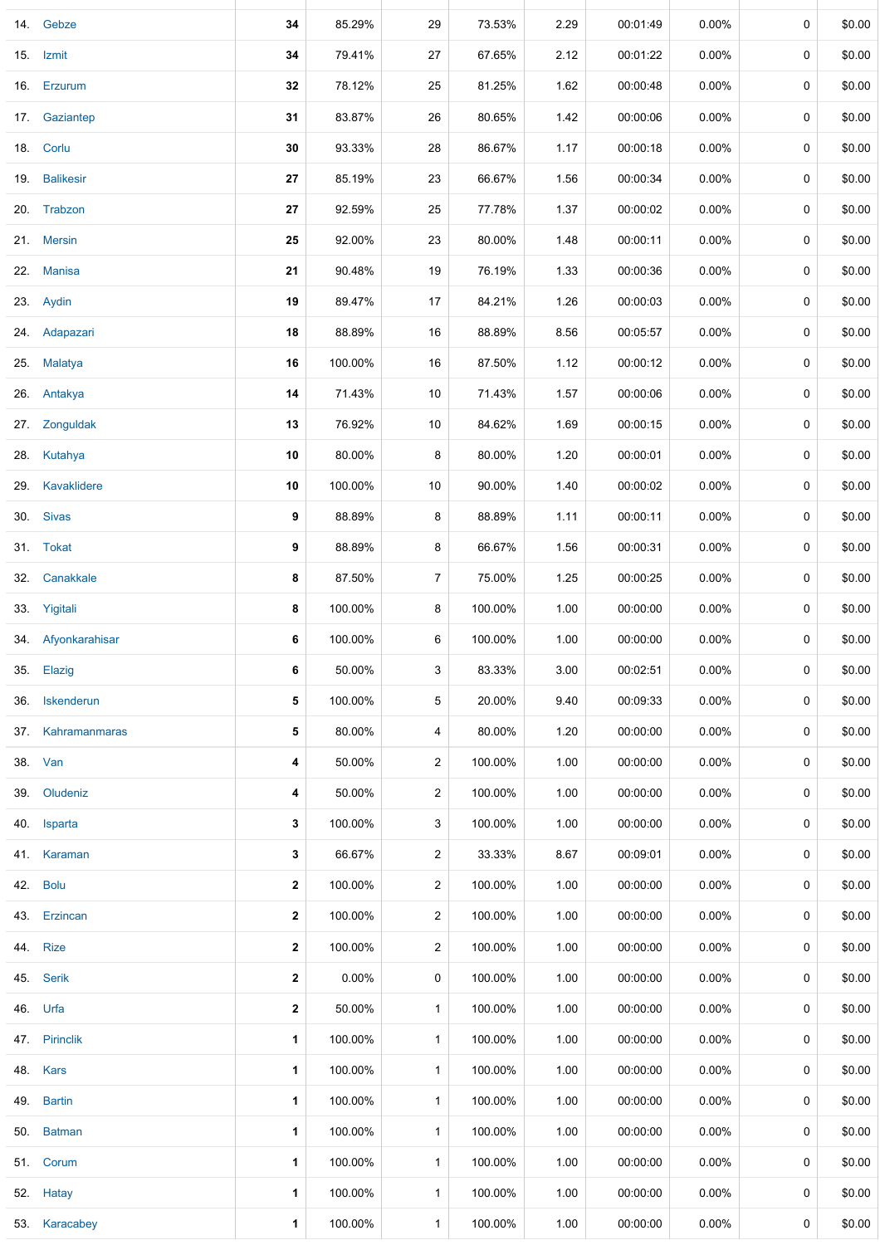|     | 14. Gebze          | 34           | 85.29%   | 29             | 73.53%  | 2.29 | 00:01:49 | $0.00\%$ | 0 | \$0.00 |
|-----|--------------------|--------------|----------|----------------|---------|------|----------|----------|---|--------|
|     | 15. Izmit          | 34           | 79.41%   | 27             | 67.65%  | 2.12 | 00:01:22 | 0.00%    | 0 | \$0.00 |
| 16. | Erzurum            | $32\,$       | 78.12%   | 25             | 81.25%  | 1.62 | 00:00:48 | 0.00%    | 0 | \$0.00 |
|     | 17. Gaziantep      | 31           | 83.87%   | 26             | 80.65%  | 1.42 | 00:00:06 | $0.00\%$ | 0 | \$0.00 |
|     | 18. Corlu          | 30           | 93.33%   | 28             | 86.67%  | 1.17 | 00:00:18 | $0.00\%$ | 0 | \$0.00 |
|     | 19. Balikesir      | 27           | 85.19%   | 23             | 66.67%  | 1.56 | 00:00:34 | 0.00%    | 0 | \$0.00 |
|     | 20. Trabzon        | 27           | 92.59%   | 25             | 77.78%  | 1.37 | 00:00:02 | 0.00%    | 0 | \$0.00 |
|     | 21. Mersin         | 25           | 92.00%   | 23             | 80.00%  | 1.48 | 00:00:11 | 0.00%    | 0 | \$0.00 |
|     | 22. Manisa         | 21           | 90.48%   | 19             | 76.19%  | 1.33 | 00:00:36 | 0.00%    | 0 | \$0.00 |
|     | 23. Aydin          | 19           | 89.47%   | 17             | 84.21%  | 1.26 | 00:00:03 | $0.00\%$ | 0 | \$0.00 |
|     | 24. Adapazari      | 18           | 88.89%   | 16             | 88.89%  | 8.56 | 00:05:57 | 0.00%    | 0 | \$0.00 |
|     | 25. Malatya        | 16           | 100.00%  | 16             | 87.50%  | 1.12 | 00:00:12 | 0.00%    | 0 | \$0.00 |
|     | 26. Antakya        | 14           | 71.43%   | 10             | 71.43%  | 1.57 | 00:00:06 | $0.00\%$ | 0 | \$0.00 |
|     | 27. Zonguldak      | 13           | 76.92%   | 10             | 84.62%  | 1.69 | 00:00:15 | 0.00%    | 0 | \$0.00 |
| 28. | Kutahya            | 10           | 80.00%   | 8              | 80.00%  | 1.20 | 00:00:01 | 0.00%    | 0 | \$0.00 |
| 29. | Kavaklidere        | 10           | 100.00%  | 10             | 90.00%  | 1.40 | 00:00:02 | 0.00%    | 0 | \$0.00 |
|     | 30. Sivas          | 9            | 88.89%   | 8              | 88.89%  | 1.11 | 00:00:11 | 0.00%    | 0 | \$0.00 |
|     | 31. Tokat          | 9            | 88.89%   | 8              | 66.67%  | 1.56 | 00:00:31 | $0.00\%$ | 0 | \$0.00 |
| 32. | Canakkale          | 8            | 87.50%   | 7              | 75.00%  | 1.25 | 00:00:25 | $0.00\%$ | 0 | \$0.00 |
|     | 33. Yigitali       | 8            | 100.00%  | 8              | 100.00% | 1.00 | 00:00:00 | $0.00\%$ | 0 | \$0.00 |
|     | 34. Afyonkarahisar | 6            | 100.00%  | 6              | 100.00% | 1.00 | 00:00:00 | 0.00%    | 0 | \$0.00 |
|     | 35. Elazig         | 6            | 50.00%   | 3              | 83.33%  | 3.00 | 00:02:51 | $0.00\%$ | 0 | \$0.00 |
|     | 36. Iskenderun     | 5            | 100.00%  | 5              | 20.00%  | 9.40 | 00:09:33 | $0.00\%$ | 0 | \$0.00 |
|     | 37. Kahramanmaras  | 5            | 80.00%   | 4              | 80.00%  | 1.20 | 00:00:00 | 0.00%    | 0 | \$0.00 |
|     | 38. Van            | 4            | 50.00%   | $\overline{c}$ | 100.00% | 1.00 | 00:00:00 | $0.00\%$ | 0 | \$0.00 |
|     | 39. Oludeniz       | 4            | 50.00%   | $\overline{c}$ | 100.00% | 1.00 | 00:00:00 | 0.00%    | 0 | \$0.00 |
|     | 40. Isparta        | 3            | 100.00%  | 3              | 100.00% | 1.00 | 00:00:00 | $0.00\%$ | 0 | \$0.00 |
|     | 41. Karaman        | 3            | 66.67%   | $\overline{2}$ | 33.33%  | 8.67 | 00:09:01 | $0.00\%$ | 0 | \$0.00 |
|     | 42. Bolu           | $\mathbf{2}$ | 100.00%  | $\overline{2}$ | 100.00% | 1.00 | 00:00:00 | $0.00\%$ | 0 | \$0.00 |
|     | 43. Erzincan       | $\mathbf{2}$ | 100.00%  | 2              | 100.00% | 1.00 | 00:00:00 | $0.00\%$ | 0 | \$0.00 |
|     | 44. Rize           | $\mathbf{2}$ | 100.00%  | $\overline{2}$ | 100.00% | 1.00 | 00:00:00 | $0.00\%$ | 0 | \$0.00 |
|     | 45. Serik          | $\mathbf{2}$ | $0.00\%$ | 0              | 100.00% | 1.00 | 00:00:00 | $0.00\%$ | 0 | \$0.00 |
|     | 46. Urfa           | $\mathbf{2}$ | 50.00%   | $\mathbf{1}$   | 100.00% | 1.00 | 00:00:00 | 0.00%    | 0 | \$0.00 |
|     | 47. Pirinclik      | 1            | 100.00%  | $\mathbf{1}$   | 100.00% | 1.00 | 00:00:00 | $0.00\%$ | 0 | \$0.00 |
|     | 48. Kars           | $\mathbf{1}$ | 100.00%  | $\mathbf{1}$   | 100.00% | 1.00 | 00:00:00 | $0.00\%$ | 0 | \$0.00 |
|     | 49. Bartin         | 1            | 100.00%  | $\mathbf{1}$   | 100.00% | 1.00 | 00:00:00 | $0.00\%$ | 0 | \$0.00 |
|     | 50. Batman         | 1            | 100.00%  | $\mathbf{1}$   | 100.00% | 1.00 | 00:00:00 | $0.00\%$ | 0 | \$0.00 |
|     | 51. Corum          | 1            | 100.00%  | $\mathbf{1}$   | 100.00% | 1.00 | 00:00:00 | $0.00\%$ | 0 | \$0.00 |
|     | 52. Hatay          | 1            | 100.00%  | $\mathbf{1}$   | 100.00% | 1.00 | 00:00:00 | $0.00\%$ | 0 | \$0.00 |
|     | 53. Karacabey      | 1            | 100.00%  | $\mathbf{1}$   | 100.00% | 1.00 | 00:00:00 | $0.00\%$ | 0 | \$0.00 |